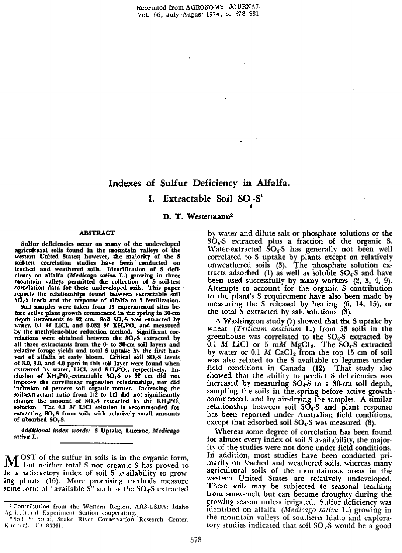# Indexes **of Sulfur Deficiency** *in* **Alfalfa.**

**I. Extractable Soil SO -S'** 4

**D. T. Westermann**<sup>2</sup>

## **ABSTRACT**

Sulfur deficiencies occur on many of the undeveloped agricultural soils found in the mountain valleys of the western United States; however, the **majority of the S soil-test correlation studies have been conducted on leached and weathered soils. Identification of S defi**ciency on alfalfa *(Medicago sativa* L.) growing in three mountain valleys permitted the collection of S soil-test correlation data for these undeveloped soils. This paper reports the relationships found between extractable soil SO<sup>4</sup> •S levels and the response of alfalfa to S fertilization.

Soil samples were taken from 13 experimental sites before active plant growth commenced in the spring in 30-cm depth increments to 92 cm. Soil **SO**4-S was extracted by water, 0.1 *M* LiCl, and 0.032 *M* KH<sub>2</sub>PO, and measured by the methylene-blue reduction method. Significant correlations were obtained between the SO<sub>5</sub>-S extracted by all three extractants from the 0- to 30-cm soil layers and relative forage yields and total S uptake by the first har-vest of alfalfa at early bloom. Critical soil 50 <sup>4</sup>.S levels of 3.0, 3k, and 4.0 ppm in this soil layer were found when extracted by water, LiCl, and KH<sub>2</sub>PO<sub>4</sub>, respectively. Inclusion of  $KH_2PO_4$  extractable  $SO_4S$  to  $92$  cm did not improve the curvilinear regression relationships, nor did inclusion of percent soil organic matter. Increasing the soil:extractant ratio from 1:2 to 1:3 did not significantly change the amount of  $SO_4$ -S extracted by the KH<sub>2</sub>PO<sub>4</sub> solution. The 0.1 *M* LiC1 solution is recommended for extracting  $SO_i$ -S from soils with relatively small amounts of absorbed SO,-S.

*Additional index words:* S Uptake, Lucerne, *Medicago saliva* L.

M OST of the sulfur in soils is in the organic form,<br>M but neither total S nor organic S has proved to OST of the sulfur in soils is in the organic form, be a satisfactory index of soil S availability to growing plants (16). More promising methods measure some form of "available S" such as the  $SO_4$ -S extracted

by water and dilute salt or phosphate solutions or the  $SO_4$ -S extracted plus a fraction of the organic S. Water-extracted **SO**4-S has generally not been well correlated to S uptake by plants except on relatively unweathered soils (3). The phosphate solution extracts adsorbed (1) as well as soluble  $SO_4$ -S and have been used successfully by many workers (2, 3, 4, 9). Attempts to account for the organic S contribution to the plant's S requirement have also been made by measuring the S released by heating (6, 14, 15), or the total S extracted by salt solutions (3).

A Washington study (7) showed that the S uptake by wheat *(Triticum aestivum.* L.) from 53 soils in the greenhouse was correlated to the **SO**4-S extracted by 0.1  $M$  LiCl or 5 m $M$  MgCl<sub>2</sub>. The SO<sub>4</sub>-S extracted by water or  $0.1$  *M* CaC1<sub>2</sub> from the top 15 cm of soil was also related to the S available to legumes under field conditions in Canada (12). That study also showed that the ability to predict S deficiencies was increased by measuring  $SO_4$ -S to a 30-cm soil depth, sampling the soils in the, spring before active growth commenced, and by air-drying the samples. A similar relationship between soil 504-S and plant response has been reported under Australian field conditions, except that adsorbed soil  $SO_4$ -S was measured (8).

Whereas some degree of correlation has been found for almost every index of soil S availability, the majority of the studies were not done under field conditions. In addition, most studies have been conducted primarily on leached and weathered soils, whereas many agricultural soils of the mountainous areas in the western United States are relatively undevelo These soils may be subjected to seasonal leaching from snow-melt but can become droughty during the growing season unless irrigated. Sulfur deficiency was identified on alfalfa *(Medicago sativa* L.) growing in the mountain valleys of southern Idaho and exploratory studies indicated that soil  $SO<sub>4</sub>$ -S would be a good

<sup>1</sup>Contribution from the Western Region, ARS-USDA; Idaho Agricultural Experiment Station cooperating.

<sup>&</sup>lt;sup>2</sup> Soil Scientist, Suake River Conservation Research Center, Kinderly, 4D 83341.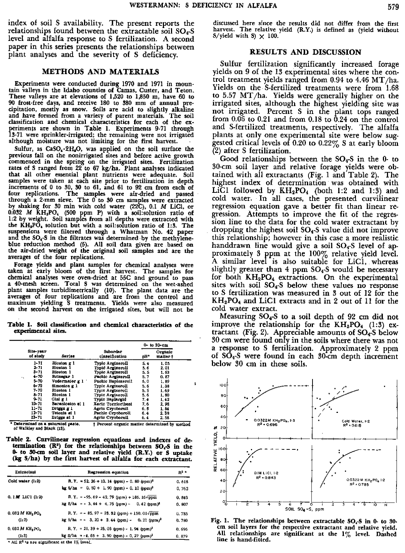index of soil S availability. The present reports the relationships found between the extractable soil  $SO_4$ -S level and alfalfa response to S fertilization. A second paper in this series presents the relationships between plant analyses and the severity of S deficiency.

#### **METHODS AND MATERIALS**

Experiments were conducted during 1970 and 1971 in mountain valleys in the Idaho counties of Camas, Custer, and Teton. These valleys are at elevations of 1,520 to 1,850 m, have 60 to 90 frost-free days, and receive 180 to 380 mm of annual precipitation, mostly as snow. Soils are acid to slightly alkaline and *have* formed from a variety of parent materials. The soil classification and chemical characteristics for each of the ex-periments are shown in Table 1. Experiments 9.71 through 13-71 were sprinkler-irrigated; the remaining were not irrigated although moisture was not limiting for the first harvest. •

Sulfur, as CaSO<sub>4</sub> . 2H<sub>4</sub>O, was applied on the soil surface the previous fall on the nonirrigated sites and before active growth commenced in the spring on the irrigated sites. Fertilization rates of S ranged from 22 to 67 kg/ha. Plant analyses indicated that all other essential plant nutrients were adequate. Soil samples were taken at each site prior to fertilization in depth increments of 0 to 30, 30 to 61, and 61 to 92 cm from each of four replications. The samples were air-dried and passed through a 2-mm sieve. The 0 to 30 cm samples were extracted by shaking for 30 min with cold water (22C), 0.1 *M* LiC1, or  $0.032$  M KH<sub>3</sub>PO<sub>4</sub> (500 ppm P) with a soil:solution ratio of 1:2 by weight. Soil samples from all depths were extracted with the KH,PO4 solution but with a soil:solution ratio of 1:3. The suspensions were filtered through a Whatman No. 42 paper and the SO4-S *in the* filtrates was determined by the methyleneblue reduction method (5). All soil data given are based on the air-dried weight of the original soil samples and are the averages of the four replications.

Forage yields and plant samples for chemical analyses were taken at early bloom of the first harvest. The samples for chemical analyses were oven-dried at 55C and ground to pass a 40-mesh screen. Total S was determined on the wet-ashed plant samples turbidimetrically (10). The plant data are the averages of four replications and are from the control and maximum yielding S treatments. Yields were also measured on the second harvest on the irrigated sites, but will not be

Table I. Soil classification and chemical characteristics of the experimental sites.

|                       |                  |                            |      | $0 - \text{to } 30 - \text{cm}$ |  |
|-----------------------|------------------|----------------------------|------|---------------------------------|--|
| Site-year<br>of study | Series           | Suborder<br>classification | pH*  | Organic<br>matter t             |  |
| $1 - 71$              | Riceton r 1      | Typic Argizeroll           | 5.4  | 1.05                            |  |
| $2 - 71$              | Riceton 1        | Typic Argixeroll           | 5. 6 | 2.01                            |  |
| $3 - 71$              | Riceton 1        | Typic Argizeroll           | 5.5  | 1.63                            |  |
| $4 - 70$<br>٠.        | Brinsenr 1       | Pachic Argixeroll          | 5.7  | 0.87                            |  |
| $5 - 70$              | Vodermaier g 1   | Pachic Haploxeroll         | 6.0  | 1.89                            |  |
| 6-70                  | Simonion g i     | <b>Typic Argixeroil</b>    | 5.6  | 1,38                            |  |
| 7-70                  | Rigeton I        | <b>Typic Argizeroll</b>    | 5.5  | 1.69                            |  |
| $1 - 71$              | Riceton 1        | <b>Typic Argizeroll</b>    | 5. 6 | 1.80                            |  |
| $9 - 71$              | GLLEI            | Typic Haplargid            | 7.4  | 1.42                            |  |
| $10 - 71$             | Berenicaton si 1 | Xeric Torriorthent         | 7.6  | 2.98                            |  |
| 11-71                 | Drimes a 1       | Agric Cryoboroll           | 6. B | 1.84                            |  |
| 12-71                 | Tetonia si 1     | Pachic Cryoboroll          | 6.4  | 2.38                            |  |
| 13-71                 | Driggs at 1      | Agric Cryoboroll           | 6.4  | 2.58                            |  |

<sup>†</sup> Percent organic matter determined by method **Determined on a saturated paste.**<br>of Waikley and Black (13).

Table 2. Curvilinear regression equations and indexes of determination  $(R^2)$  for the relationships between  $SO_4S$  in the 0• to 30-cm soil layer and relative yield (R.Y.) or *S* uptake (kg S/ha) by the first harvest of alfalfa for each extractant.

| Extractant           | Regression equation                                              | $R^2$ * |
|----------------------|------------------------------------------------------------------|---------|
| Cold water (1:2)     | R. Y. = 52. 26 + 13. 14 (ppm) = 0. 80 (ppm) <sup>2</sup>         | 0.616   |
|                      | $\log S/\text{ha} = 0.50 + 1.90$ (ppm) - 0.10 (ppm) <sup>2</sup> | 0.762   |
| $0.1 M$ LIC1 $(l:2)$ | R.Y. = -95.69 - 42.79 (ppm) + 186.16 $\sqrt{ppm}$                | 0.843   |
|                      | kg S/hs = - 3, 44 + 4, 76 (ppm) - 0.42 (ppm) <sup>2</sup>        | 0.807   |
| $0.032M$ KH, PO,     | R.Y. = - 85, 97 = 28, 82 (ppm) + 150, 01 $\sqrt{ppm}$            | 0.785   |
| (1, 2)               | kg S/ha = - 3.20 + 3.44 (ppm) - 0.21 (ppm) <sup>2</sup>          | 0.780   |
| 0,032 M KB, PO,      | R. Y. = 21, 39 + 25, 08 (ppm) - 1, 94 (ppm) <sup>2</sup>         | 0.696   |
| (1,3)                | kg S/ha = -4.65 + 3.90 (ppm) - 0.27 (ppm) <sup>2</sup>           | 0.879   |

<sup>\*</sup> All R<sup>2</sup> <sup>1</sup>9 are significant at the 1% level.

discussed here since the results did not differ from the first harvest. The relative yield (R.Y.) is defined as (yield without S/yield with  $\text{S}$ )  $\times$  100.

## RESULTS AND DISCUSSION

Sulfur fertilization significantly increased forage yields on 9 of the 13 experimental sites where the control treatment yields ranged from 0.94 to 4.46 MT/ha. Yields on the S-fertilized treatments were from 1.68 to 5.57 MT/ha. Yields were generally higher on the irrigated sites, although the highest yielding site was not irrigated. Percent S in the plant tops ranged from  $0.06$  to  $0.21$  and from  $0.18$  to  $0.24$  on the control and S-fertilized treatments, respectively. The alfalfa plants at only one experimental site were below suggested critical levels of 0.20 to 0.22 $\%$  S at early bloom (2) after S fertilization.

Good relationships between the  $SO_4$ -S in the 0-to 30-cm soil layer and relative forage yields were obtained with all extractants (Fig. 1 and Table 2). The highest index of determination was obtained with LiCI followed by  $KH_2PO_4$  (both 1:2 and 1:3) and cold water. In all cases, the presented curvilinear regression equation gave a better fit than linear regression. Attempts to improve the fit of the regression line to the data for the cold water extractant by dropping the highest soil  $SO_4$ -S value did not improve this relationship; however in this case a more realistic handdrawn line would give a soil  $SO_4$ -S level of approximately 3 ppm at the 100% relative yield level  ${\rm \tilde{A}}$  similar level is also suitable for LiC1, whereas slightly greater than  $4$  ppm  $SO_4$ -S would be necessary for both  $KH<sub>2</sub>PO<sub>4</sub>$  extractions. On the experimental sites with soil  $SO_4$ -S below these values no response to S fertilization was measured in 3 out of 12 for the  $KH_2PO_4$  and LiC1 extracts and in 2 out of 11 for the cold water extract.

Measuring  $SO_4$ -S to a soil depth of 92 cm did not improve the relationship for the  $KH_{2}PO_{4}$  (1:3) extractant (Fig. 2). Appreciable amounts of  $SO_4$ -S below 30 cm were found only in the soils where there was not *a* response to S fertilization. Approximately 2 ppm of SO4-S were found in each 30-cm depth increment below 30 cm in these soils.



Fig. 1. The relationships between extractable 50,-S in 0- to 30 cm soil layers for the respective extractant and relative yield. All relationships are significant at the 1% level. Dashed line is hand-fitted.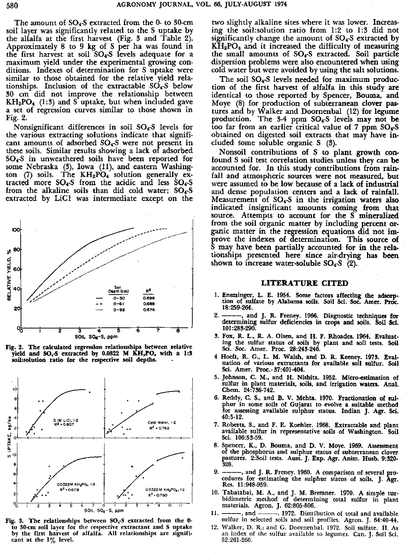The amount of  $SO_4$ -S extracted from the 0- to 30-cm soil layer was significantly related to the S uptake by the alfalfa at the first harvest (Fig. 3 and Table 2). Approximately 8 to 9 kg of S per ha was found in the first harvest at soil  $SO_4$ -S levels adequate for a maximum yield under the experimental growing conditions. Indexes of determination for S uptake were similar to those obtained for the relative yield relationships. Inclusion of the extractable  $SO_4$ -S below 30 cm did not improve the relationship between  $KH<sub>2</sub>PO<sub>4</sub>$  (1:3) and S uptake, but when included gave a set of regression curves similar to those shown in Fig. 2.

Nonsignificant differences in soil  $SO_4$ -S levels for the various extracting solutions indicate that significant amounts of adsorbed  $SO<sub>4</sub>$ -S were not present in these soils. Similar results showing a lack of adsorbed  $SO_4-S$  in unweathered soils have been reported for some Nebraska (3), Iowa (11), and eastern Washington (7) soils. The  $KH_2PO_4$  solution generally extracted more  $SO_4$ -S from the acidic and less  $SO_4$ -S from the alkaline soils than did cold water;  $SO_4$ -S extracted by LiC1 was intermediate except on the



**Fig. 2. The calculated regression relationships between relative yield and SO.-S extracted by 0.0322 M KH,PO, with a 1:3 soil:solution ratio for the respective soil depths. •**



**Fig. 3. The relationships between 50,-S extracted from the 0 to 30-cm soil layer for the respective extractant and S uptake by the first harvest of alfalfa. All relationships are significant at the 1% level.**

two slightly alkaline sites where it was lower. Increasing the soil:solution ratio from 1:2 to 1:3 did not significantly change the amount of  $SO_4$ -S extracted by  $KH<sub>2</sub>PO<sub>4</sub>$  and it increased the difficulty of measuring the small amounts of  $SO_4$ -S extracted. Soil particle dispersion problems were also encountered when using cold water but were avoided by using the salt solutions.

The soil SO4-S levels needed for maximum production of the first harvest of alfalfa **in** this study are identical to those reported by Spencer, Bouma, and Moye (8) for production of subterranean clover pastures and by Walker and Doornenbal (12) for legume production. The  $3-4$  ppm  $SO<sub>4</sub>-S$  levels may not be too far from an earlier critical value of 7 ppm **SO4**-S obtained on digested soil extracts that may **have in**cluded Some soluble organic S (3).

Nonsoil contributions of S to plant growth confound S soil test correlation studies unless they can be accounted for. In this study contributions from rainfall and atmospheric sources were not measured, but were assumed to be low because of a lack of industrial and **dense** population centers and a lack of rainfall. Measurement of **SO**4-S in the irrigation waters also indicated insignificant amounts coming from that source. Attempts to account for the S mineralized from the soil organic matter by including percent organic matter in the regression equations did not improve the indexes of determination. This source of S may have been partially accounted for **in** the relationships presented here since air-drying has been shown to increase water-soluble  $SO_4$ -S (2).

## LITERATURE CITED

- 1. Ensminger, L. E. 1954. Some factors affecting the adsorption of sulfate by Alabama soils. Soil Sci. Soc. Amer. Proc. 18:259-264.
- 2. ----, and J. R. Freney. 1966. Diagnostic techniques for determining sulfur deficiencies in crops and soils. Soil Sci. 101:283-290.
- 3. Fox, R. L., R. A. Olsen, and H. F. Rhoades. 1964. Evaluating the sulfur status of soils by plant and soil tests. Soil Sci. Soc. Amer. Proc. 28:243-246.
- 4 Hoeft, R. G., L. M. Walsh, and D. R. Keeney. 1973. Evaluation of various extractants for available soil sulfur. Soil Sci. Amer. Proc. 87:401-404.
- 5. Johnson, C. M., and H. Nishita. 1952. Micro-estimation of sulfur in plant materials, soils, and irrigation waters. Anal. Chem. 24:736-742.
- 6. Reddy, C. S., and B. V. Mehta. 1970. Fractionation of sulphur in some soils of Gujarat to *evolve a* suitable method for assessing available sulphur status. Indian J. Agr. Sci. 40:5-12.
- 7. Roberts, S., and F. E. Koehler. 1968. Extractable and plant available sulfur in representative soils of Washington. Soil Sci. 106:53-59.
- 8. Spencer, K., D. Bouma, and D. V. Moye. 1969. Assessment of the phosphorus and sulphur status of subterranean clover pastures. 2:Soil tests. Aust. J. Exp. Agr. Anim. Hush. 9:320- 328.
- -, and J. R. Freney. 1960. A comparison of several procedures for estimating the sulphur status of soils. J. Agr. Res. 11:948-959.
- 10. Tabatabai, M. A., and J. M. Bremner. 1970. A simple turbidimetric method of determining total sulfur in plant materials. Agron. *J.* 62:805-806.
- 11.  $---$ , and  $---$ . 1972. Distribution of total and available sulfur in selected soils and soil profiles. Agron. J. 64:40-44.
- 12. Walker, D. R.; and G. Doornenbal. 1972. Soil sulfate. II. As an index of the sulfur available to legumes. Can. J. Soil Sci. 52:261-266.